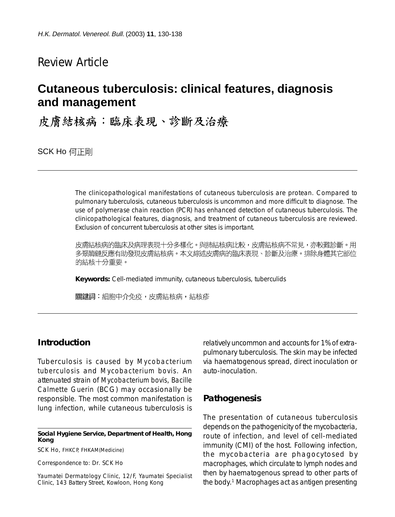# Review Article

# **Cutaneous tuberculosis: clinical features, diagnosis and management**

皮膚結核病:臨床表現、診斷及治療

SCK Ho 何正剛

The clinicopathological manifestations of cutaneous tuberculosis are protean. Compared to pulmonary tuberculosis, cutaneous tuberculosis is uncommon and more difficult to diagnose. The use of polymerase chain reaction (PCR) has enhanced detection of cutaneous tuberculosis. The clinicopathological features, diagnosis, and treatment of cutaneous tuberculosis are reviewed. Exclusion of concurrent tuberculosis at other sites is important.

皮膚結核病的臨床及病理表現十分多樣化。與肺結核病比較,皮膚結核病不常見,亦較難診斷。用 多聚酶鏈反應有助發現皮膚結核病。本文綜述皮膚病的臨床表現、診斷及治療。排除身體其它部位 的結核十分重要。

**Keywords:** Cell-mediated immunity, cutaneous tuberculosis, tuberculids

關鍵詞:細胞中介免疫,皮膚結核病,結核疹

# **Introduction**

Tuberculosis is caused by *Mycobacterium tuberculosis* and *Mycobacterium bovis*. An attenuated strain of *Mycobacterium bovis*, *Bacille Calmette Guerin* (BCG) may occasionally be responsible. The most common manifestation is lung infection, while cutaneous tuberculosis is

**Social Hygiene Service, Department of Health, Hong Kong**

SCK Ho, FHKCP, FHKAM(Medicine)

Correspondence to: Dr. SCK Ho

Yaumatei Dermatology Clinic, 12/F, Yaumatei Specialist Clinic, 143 Battery Street, Kowloon, Hong Kong

relatively uncommon and accounts for 1% of extrapulmonary tuberculosis. The skin may be infected via haematogenous spread, direct inoculation or auto-inoculation.

#### **Pathogenesis**

The presentation of cutaneous tuberculosis depends on the pathogenicity of the mycobacteria, route of infection, and level of cell-mediated immunity (CMI) of the host. Following infection, the mycobacteria are phagocytosed by macrophages, which circulate to lymph nodes and then by haematogenous spread to other parts of the body.1 Macrophages act as antigen presenting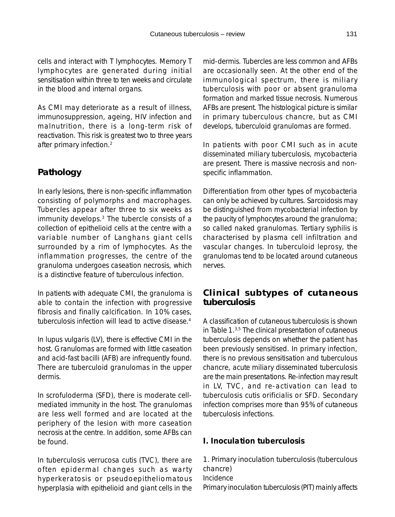cells and interact with T lymphocytes. Memory T lymphocytes are generated during initial sensitisation within three to ten weeks and circulate in the blood and internal organs.

As CMI may deteriorate as a result of illness, immunosuppression, ageing, HIV infection and malnutrition, there is a long-term risk of reactivation. This risk is greatest two to three years after primary infection.2

# **Pathology**

In early lesions, there is non-specific inflammation consisting of polymorphs and macrophages. Tubercles appear after three to six weeks as immunity develops.3 The tubercle consists of a collection of epithelioid cells at the centre with a variable number of Langhans giant cells surrounded by a rim of lymphocytes. As the inflammation progresses, the centre of the granuloma undergoes caseation necrosis, which is a distinctive feature of tuberculous infection.

In patients with adequate CMI, the granuloma is able to contain the infection with progressive fibrosis and finally calcification. In 10% cases, tuberculosis infection will lead to active disease.4

In lupus vulgaris (LV), there is effective CMI in the host. Granulomas are formed with little caseation and acid-fast bacilli (AFB) are infrequently found. There are tuberculoid granulomas in the upper dermis.

In scrofuloderma (SFD), there is moderate cellmediated immunity in the host. The granulomas are less well formed and are located at the periphery of the lesion with more caseation necrosis at the centre. In addition, some AFBs can be found.

In tuberculosis verrucosa cutis (TVC), there are often epidermal changes such as warty hyperkeratosis or pseudoepitheliomatous hyperplasia with epithelioid and giant cells in the

mid-dermis. Tubercles are less common and AFBs are occasionally seen. At the other end of the immunological spectrum, there is miliary tuberculosis with poor or absent granuloma formation and marked tissue necrosis. Numerous AFBs are present. The histological picture is similar in primary tuberculous chancre, but as CMI develops, tuberculoid granulomas are formed.

In patients with poor CMI such as in acute disseminated miliary tuberculosis, mycobacteria are present. There is massive necrosis and nonspecific inflammation.

Differentiation from other types of mycobacteria can only be achieved by cultures. Sarcoidosis may be distinguished from mycobacterial infection by the paucity of lymphocytes around the granuloma; so called naked granulomas. Tertiary syphilis is characterised by plasma cell infiltration and vascular changes. In tuberculoid leprosy, the granulomas tend to be located around cutaneous nerves.

# **Clinical subtypes of cutaneous tuberculosis**

A classification of cutaneous tuberculosis is shown in Table 1.3,5 The clinical presentation of cutaneous tuberculosis depends on whether the patient has been previously sensitised. In primary infection, there is no previous sensitisation and tuberculous chancre, acute miliary disseminated tuberculosis are the main presentations. Re-infection may result in LV, TVC, and re-activation can lead to tuberculosis cutis orificialis or SFD. Secondary infection comprises more than 95% of cutaneous tuberculosis infections.

### *I. Inoculation tuberculosis*

1. Primary inoculation tuberculosis (tuberculous chancre) Incidence Primary inoculation tuberculosis (PIT) mainly affects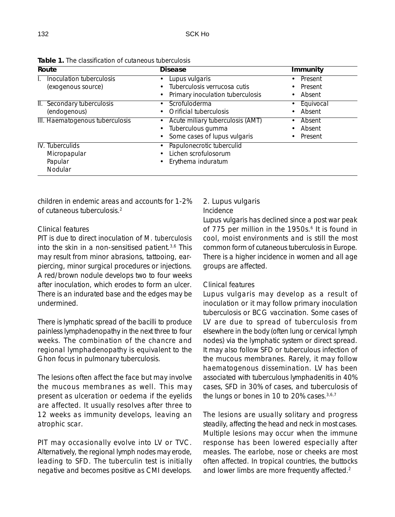| Route                                                 | <b>Disease</b>                                                                        | <b>Immunity</b>                                       |
|-------------------------------------------------------|---------------------------------------------------------------------------------------|-------------------------------------------------------|
| Inoculation tuberculosis<br>(exogenous source)        | Lupus vulgaris<br>Tuberculosis verrucosa cutis<br>Primary inoculation tuberculosis    | Present<br>$\bullet$<br>Present<br>Absent             |
| II. Secondary tuberculosis<br>(endogenous)            | Scrofuloderma<br>Orificial tuberculosis                                               | Equivocal<br>٠<br>Absent                              |
| III. Haematogenous tuberculosis                       | Acute miliary tuberculosis (AMT)<br>Tuberculous gumma<br>Some cases of lupus vulgaris | Absent<br>$\bullet$<br>Absent<br>Present<br>$\bullet$ |
| IV. Tuberculids<br>Micropapular<br>Papular<br>Nodular | Papulonecrotic tuberculid<br>Lichen scrofulosorum<br>Erythema induratum               |                                                       |

**Table 1.** The classification of cutaneous tuberculosis

children in endemic areas and accounts for 1-2% of cutaneous tuberculosis.2

#### Clinical features

PIT is due to direct inoculation of *M. tuberculosis* into the skin in a non-sensitised patient.3,6 This may result from minor abrasions, tattooing, earpiercing, minor surgical procedures or injections. A red/brown nodule develops two to four weeks after inoculation, which erodes to form an ulcer. There is an indurated base and the edges may be undermined.

There is lymphatic spread of the bacilli to produce painless lymphadenopathy in the next three to four weeks. The combination of the chancre and regional lymphadenopathy is equivalent to the Ghon focus in pulmonary tuberculosis.

The lesions often affect the face but may involve the mucous membranes as well. This may present as ulceration or oedema if the eyelids are affected. It usually resolves after three to 12 weeks as immunity develops, leaving an atrophic scar.

PIT may occasionally evolve into LV or TVC. Alternatively, the regional lymph nodes may erode, leading to SFD. The tuberculin test is initially negative and becomes positive as CMI develops.

#### 2. Lupus vulgaris

#### Incidence

Lupus vulgaris has declined since a post war peak of 775 per million in the 1950s.<sup>6</sup> It is found in cool, moist environments and is still the most common form of cutaneous tuberculosis in Europe. There is a higher incidence in women and all age groups are affected.

#### Clinical features

Lupus vulgaris may develop as a result of inoculation or it may follow primary inoculation tuberculosis or BCG vaccination. Some cases of LV are due to spread of tuberculosis from elsewhere in the body (often lung or cervical lymph nodes) via the lymphatic system or direct spread. It may also follow SFD or tuberculous infection of the mucous membranes. Rarely, it may follow haematogenous dissemination. LV has been associated with tuberculous lymphadenitis in 40% cases, SFD in 30% of cases, and tuberculosis of the lungs or bones in 10 to 20% cases.<sup>3,6,7</sup>

The lesions are usually solitary and progress steadily, affecting the head and neck in most cases. Multiple lesions may occur when the immune response has been lowered especially after measles. The earlobe, nose or cheeks are most often affected. In tropical countries, the buttocks and lower limbs are more frequently affected.<sup>2</sup>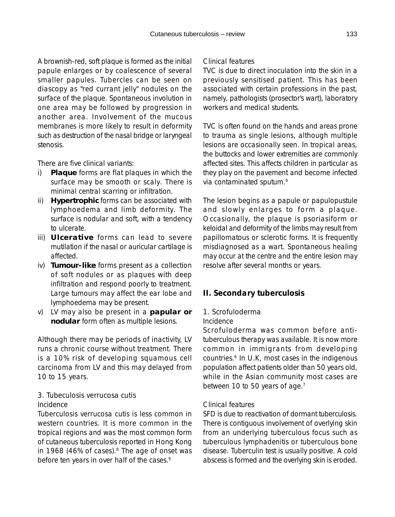A brownish-red, soft plaque is formed as the initial papule enlarges or by coalescence of several smaller papules. Tubercles can be seen on diascopy as "red currant jelly" nodules on the surface of the plaque. Spontaneous involution in one area may be followed by progression in another area. Involvement of the mucous membranes is more likely to result in deformity such as destruction of the nasal bridge or laryngeal stenosis.

There are five clinical variants:

- i) **Plaque** forms are flat plaques in which the surface may be smooth or scaly. There is minimal central scarring or infiltration.
- ii) **Hypertrophic** forms can be associated with lymphoedema and limb deformity. The surface is nodular and soft, with a tendency to ulcerate.
- iii) **Ulcerative** forms can lead to severe mutilation if the nasal or auricular cartilage is affected.
- iv) **Tumour-like** forms present as a collection of soft nodules or as plaques with deep infiltration and respond poorly to treatment. Large tumours may affect the ear lobe and lymphoedema may be present.
- v) LV may also be present in a **papular or nodular** form often as multiple lesions.

Although there may be periods of inactivity, LV runs a chronic course without treatment. There is a 10% risk of developing squamous cell carcinoma from LV and this may delayed from 10 to 15 years.

### 3. Tubeculosis verrucosa cutis Incidence

Tuberculosis verrucosa cutis is less common in western countries. It is more common in the tropical regions and was the most common form of cutaneous tuberculosis reported in Hong Kong in 1968 (46% of cases).<sup>8</sup> The age of onset was before ten years in over half of the cases.<sup>9</sup>

#### Clinical features

TVC is due to direct inoculation into the skin in a previously sensitised patient. This has been associated with certain professions in the past, namely, pathologists (prosector's wart), laboratory workers and medical students.

TVC is often found on the hands and areas prone to trauma as single lesions, although multiple lesions are occasionally seen. In tropical areas, the buttocks and lower extremities are commonly affected sites. This affects children in particular as they play on the pavement and become infected via contaminated sputum.9

The lesion begins as a papule or papulopustule and slowly enlarges to form a plaque. Occasionally, the plaque is psoriasiform or keloidal and deformity of the limbs may result from papillomatous or sclerotic forms. It is frequently misdiagnosed as a wart. Spontaneous healing may occur at the centre and the entire lesion may resolve after several months or years.

# *II. Secondary tuberculosis*

# 1. Scrofuloderma

#### Incidence

Scrofuloderma was common before antituberculous therapy was available. It is now more common in immigrants from developing countries.<sup>6</sup> In U.K, most cases in the indigenous population affect patients older than 50 years old, while in the Asian community most cases are between 10 to 50 years of age.<sup>7</sup>

#### Clinical features

SFD is due to reactivation of dormant tuberculosis. There is contiguous involvement of overlying skin from an underlying tuberculous focus such as tuberculous lymphadenitis or tuberculous bone disease. Tuberculin test is usually positive. A cold abscess is formed and the overlying skin is eroded.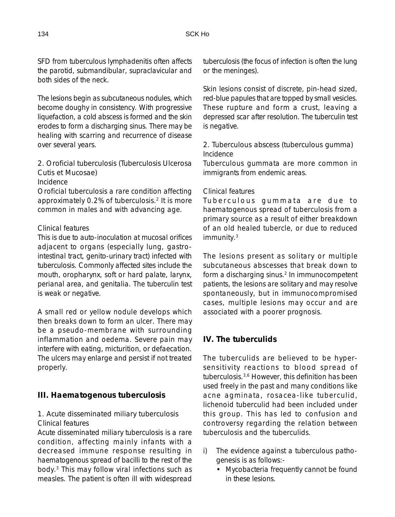SFD from tuberculous lymphadenitis often affects the parotid, submandibular, supraclavicular and both sides of the neck.

The lesions begin as subcutaneous nodules, which become doughy in consistency. With progressive liquefaction, a cold abscess is formed and the skin erodes to form a discharging sinus. There may be healing with scarring and recurrence of disease over several years.

2. Oroficial tuberculosis (Tuberculosis Ulcerosa Cutis et Mucosae)

Incidence

Oroficial tuberculosis a rare condition affecting approximately 0.2% of tuberculosis.<sup>2</sup> It is more common in males and with advancing age.

#### Clinical features

This is due to auto-inoculation at mucosal orifices adjacent to organs (especially lung, gastrointestinal tract, genito-urinary tract) infected with tuberculosis. Commonly affected sites include the mouth, oropharynx, soft or hard palate, larynx, perianal area, and genitalia. The tuberculin test is weak or negative.

A small red or yellow nodule develops which then breaks down to form an ulcer. There may be a pseudo-membrane with surrounding inflammation and oedema. Severe pain may interfere with eating, micturition, or defaecation. The ulcers may enlarge and persist if not treated properly.

### *III. Haematogenous tuberculosis*

#### 1. Acute disseminated miliary tuberculosis Clinical features

Acute disseminated miliary tuberculosis is a rare condition, affecting mainly infants with a decreased immune response resulting in haematogenous spread of bacilli to the rest of the body.3 This may follow viral infections such as measles. The patient is often ill with widespread tuberculosis (the focus of infection is often the lung or the meninges).

Skin lesions consist of discrete, pin-head sized, red-blue papules that are topped by small vesicles. These rupture and form a crust, leaving a depressed scar after resolution. The tuberculin test is negative.

### 2. Tuberculous abscess (tuberculous gumma) Incidence

Tuberculous gummata are more common in immigrants from endemic areas.

#### Clinical features

Tuberculous gummata are due to haematogenous spread of tuberculosis from a primary source as a result of either breakdown of an old healed tubercle, or due to reduced immunity.3

The lesions present as solitary or multiple subcutaneous abscesses that break down to form a discharging sinus.<sup>2</sup> In immunocompetent patients, the lesions are solitary and may resolve spontaneously, but in immunocompromised cases, multiple lesions may occur and are associated with a poorer prognosis.

# *IV. The tuberculids*

The tuberculids are believed to be hypersensitivity reactions to blood spread of tuberculosis.3,6 However, this definition has been used freely in the past and many conditions like acne agminata, rosacea-like tuberculid, lichenoid tuberculid had been included under this group. This has led to confusion and controversy regarding the relation between tuberculosis and the tuberculids.

- i) The evidence against a tuberculous pathogenesis is as follows:-
	- Mycobacteria frequently cannot be found in these lesions.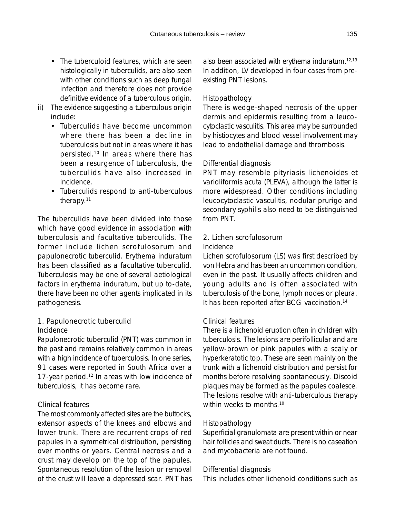- The tuberculoid features, which are seen histologically in tuberculids, are also seen with other conditions such as deep fungal infection and therefore does not provide definitive evidence of a tuberculous origin.
- ii) The evidence suggesting a tuberculous origin include:
	- Tuberculids have become uncommon where there has been a decline in tuberculosis but not in areas where it has persisted.10 In areas where there has been a resurgence of tuberculosis, the tuberculids have also increased in incidence.
	- Tuberculids respond to anti-tuberculous therapy.11

The tuberculids have been divided into those which have good evidence in association with tuberculosis and facultative tuberculids. The former include lichen scrofulosorum and papulonecrotic tuberculid. Erythema induratum has been classified as a facultative tuberculid. Tuberculosis may be one of several aetiological factors in erythema induratum, but up to-date, there have been no other agents implicated in its pathogenesis.

1. Papulonecrotic tuberculid

#### Incidence

Papulonecrotic tuberculid (PNT) was common in the past and remains relatively common in areas with a high incidence of tuberculosis. In one series, 91 cases were reported in South Africa over a 17-year period.<sup>12</sup> In areas with low incidence of tuberculosis, it has become rare.

#### Clinical features

The most commonly affected sites are the buttocks, extensor aspects of the knees and elbows and lower trunk. There are recurrent crops of red papules in a symmetrical distribution, persisting over months or years. Central necrosis and a crust may develop on the top of the papules. Spontaneous resolution of the lesion or removal of the crust will leave a depressed scar. PNT has also been associated with erythema induratum.12,13 In addition, LV developed in four cases from preexisting PNT lesions.

#### Histopathology

There is wedge-shaped necrosis of the upper dermis and epidermis resulting from a leucocytoclastic vasculitis. This area may be surrounded by histiocytes and blood vessel involvement may lead to endothelial damage and thrombosis.

#### Differential diagnosis

PNT may resemble pityriasis lichenoides et varioliformis acuta (PLEVA), although the latter is more widespread. Other conditions including leucocytoclastic vasculitis, nodular prurigo and secondary syphilis also need to be distinguished from PNT.

#### 2. Lichen scrofulosorum

#### Incidence

Lichen scrofulosorum (LS) was first described by von Hebra and has been an uncommon condition, even in the past. It usually affects children and young adults and is often associated with tuberculosis of the bone, lymph nodes or pleura. It has been reported after BCG vaccination.14

#### Clinical features

There is a lichenoid eruption often in children with tuberculosis. The lesions are perifollicular and are yellow-brown or pink papules with a scaly or hyperkeratotic top. These are seen mainly on the trunk with a lichenoid distribution and persist for months before resolving spontaneously. Discoid plaques may be formed as the papules coalesce. The lesions resolve with anti-tuberculous therapy within weeks to months.<sup>10</sup>

#### Histopathology

Superficial granulomata are present within or near hair follicles and sweat ducts. There is no caseation and mycobacteria are not found.

#### Differential diagnosis

This includes other lichenoid conditions such as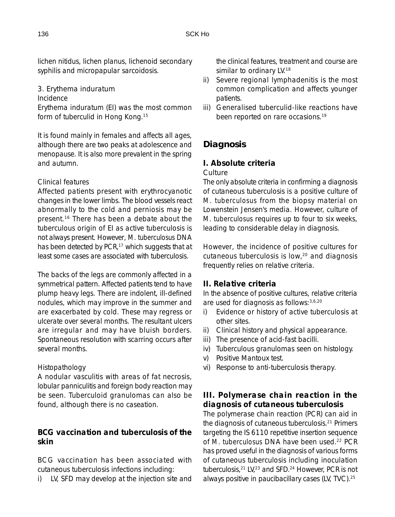lichen nitidus, lichen planus, lichenoid secondary syphilis and micropapular sarcoidosis.

3. Erythema induratum

Incidence

Erythema induratum (EI) was the most common form of tuberculid in Hong Kong.<sup>15</sup>

It is found mainly in females and affects all ages, although there are two peaks at adolescence and menopause. It is also more prevalent in the spring and autumn.

### Clinical features

Affected patients present with erythrocyanotic changes in the lower limbs. The blood vessels react abnormally to the cold and perniosis may be present.16 There has been a debate about the tuberculous origin of EI as active tuberculosis is not always present. However, *M. tuberculosus* DNA has been detected by PCR,<sup>17</sup> which suggests that at least some cases are associated with tuberculosis.

The backs of the legs are commonly affected in a symmetrical pattern. Affected patients tend to have plump heavy legs. There are indolent, ill-defined nodules, which may improve in the summer and are exacerbated by cold. These may regress or ulcerate over several months. The resultant ulcers are irregular and may have bluish borders. Spontaneous resolution with scarring occurs after several months.

# Histopathology

A nodular vasculitis with areas of fat necrosis, lobular panniculitis and foreign body reaction may be seen. Tuberculoid granulomas can also be found, although there is no caseation.

# *BCG vaccination and tuberculosis of the skin*

BCG vaccination has been associated with cutaneous tuberculosis infections including:

i) LV, SFD may develop at the injection site and

the clinical features, treatment and course are similar to ordinary LV.<sup>18</sup>

- ii) Severe regional lymphadenitis is the most common complication and affects younger patients.
- iii) Generalised tuberculid-like reactions have been reported on rare occasions.<sup>19</sup>

# **Diagnosis**

# *I. Absolute criteria* **Culture**

The only absolute criteria in confirming a diagnosis of cutaneous tuberculosis is a positive culture of *M. tuberculosus* from the biopsy material on Lowenstein Jensen's media. However, culture of *M. tuberculosus* requires up to four to six weeks, leading to considerable delay in diagnosis.

However, the incidence of positive cultures for cutaneous tuberculosis is low,20 and diagnosis frequently relies on relative criteria.

# *II. Relative criteria*

In the absence of positive cultures, relative criteria are used for diagnosis as follows:3,6,20

- i) Evidence or history of active tuberculosis at other sites.
- ii) Clinical history and physical appearance.
- iii) The presence of acid-fast bacilli.
- iv) Tuberculous granulomas seen on histology.
- v) Positive Mantoux test.
- vi) Response to anti-tuberculosis therapy.

# *III. Polymerase chain reaction in the diagnosis of cutaneous tuberculosis*

The polymerase chain reaction (PCR) can aid in the diagnosis of cutaneous tuberculosis.21 Primers targeting the IS 6110 repetitive insertion sequence of *M. tuberculosus* DNA have been used.<sup>22</sup> PCR has proved useful in the diagnosis of various forms of cutaneous tuberculosis including inoculation tuberculosis,<sup>21</sup> LV,<sup>23</sup> and SFD.<sup>24</sup> However, PCR is not always positive in paucibacillary cases (LV, TVC).25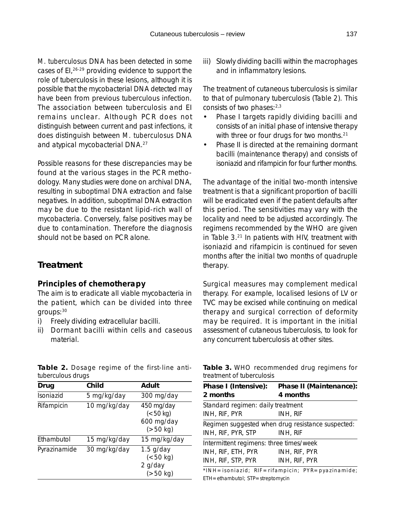*M. tuberculosus* DNA has been detected in some cases of EI,<sup>26-29</sup> providing evidence to support the role of tuberculosis in these lesions, although it is possible that the mycobacterial DNA detected may have been from previous tuberculous infection. The association between tuberculosis and EI remains unclear. Although PCR does not distinguish between current and past infections, it does distinguish between *M. tuberculosus* DNA and atypical mycobacterial DNA.27

Possible reasons for these discrepancies may be found at the various stages in the PCR methodology. Many studies were done on archival DNA, resulting in suboptimal DNA extraction and false negatives. In addition, suboptimal DNA extraction may be due to the resistant lipid-rich wall of mycobacteria. Conversely, false positives may be due to contamination. Therefore the diagnosis should not be based on PCR alone.

# **Treatment**

#### *Principles of chemotherapy*

The aim is to eradicate all viable mycobacteria in the patient, which can be divided into three groups:30

- i) Freely dividing extracellular bacilli.
- ii) Dormant bacilli within cells and caseous material.

| Drug         | Child        | Adult                                               |
|--------------|--------------|-----------------------------------------------------|
| Isoniazid    | 5 mg/kg/day  | 300 mg/day                                          |
| Rifampicin   | 10 mg/kg/day | 450 mg/day<br>(< 50 kg)<br>600 mg/day<br>$(>50$ kg) |
| Ethambutol   | 15 mg/kg/day | 15 mg/kg/day                                        |
| Pyrazinamide | 30 mg/kg/day | $1.5$ g/day<br>(< 50 kg)<br>2 g/day<br>(>50 kg)     |

| Table 2. Dosage regime of the first-line anti- |  |  |  |
|------------------------------------------------|--|--|--|
| tuberculous drugs                              |  |  |  |

iii) Slowly dividing bacilli within the macrophages and in inflammatory lesions.

The treatment of cutaneous tuberculosis is similar to that of pulmonary tuberculosis (Table 2). This consists of two phases: 2,3

- Phase I targets rapidly dividing bacilli and consists of an initial phase of intensive therapy with three or four drugs for two months.<sup>21</sup>
- Phase II is directed at the remaining dormant bacilli (maintenance therapy) and consists of isoniazid and rifampicin for four further months.

The advantage of the initial two-month intensive treatment is that a significant proportion of bacilli will be eradicated even if the patient defaults after this period. The sensitivities may vary with the locality and need to be adjusted accordingly. The regimens recommended by the WHO are given in Table 3.<sup>21</sup> In patients with HIV, treatment with isoniazid and rifampicin is continued for seven months after the initial two months of quadruple therapy.

Surgical measures may complement medical therapy. For example, localised lesions of LV or TVC may be excised while continuing on medical therapy and surgical correction of deformity may be required. It is important in the initial assessment of cutaneous tuberculosis, to look for any concurrent tuberculosis at other sites.

|                           | Table 3. WHO recommended drug regimens for |  |  |
|---------------------------|--------------------------------------------|--|--|
| treatment of tuberculosis |                                            |  |  |

| Phase I (Intensive):                    | Phase II (Maintenance):                           |
|-----------------------------------------|---------------------------------------------------|
| 2 months                                | 4 months                                          |
| Standard regimen: daily treatment       |                                                   |
| INH, RIF, PYR                           | INH, RIF                                          |
|                                         | Regimen suggested when drug resistance suspected: |
| INH, RIF, PYR, STP                      | INH, RIF                                          |
| Intermittent regimens: three times/week |                                                   |
| INH, RIF, ETH, PYR                      | INH, RIF, PYR                                     |
| INH, RIF, STP, PYR                      | INH, RIF, PYR                                     |

\*INH=isoniazid; RIF=rifampicin; PYR=pyazinamide; ETH=ethambutol; STP=streptomycin